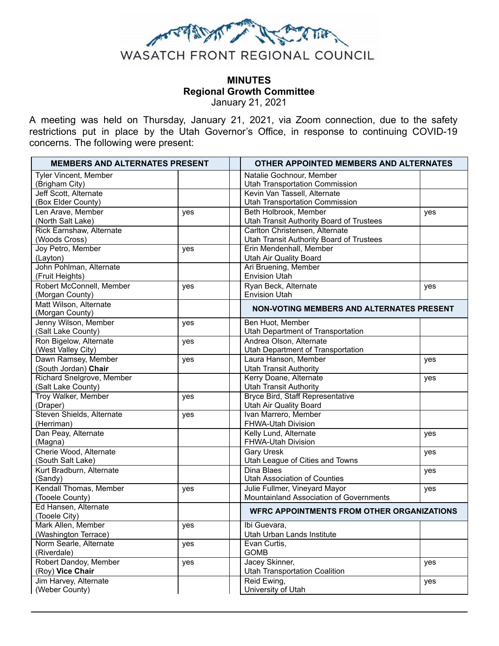

# **MINUTES Regional Growth Committee**  January 21, 2021

A meeting was held on Thursday, January 21, 2021, via Zoom connection, due to the safety restrictions put in place by the Utah Governor's Office, in response to continuing COVID-19 concerns. The following were present:

| <b>MEMBERS AND ALTERNATES PRESENT</b> |     | <b>OTHER APPOINTED MEMBERS AND ALTERNATES</b>                              |     |
|---------------------------------------|-----|----------------------------------------------------------------------------|-----|
| Tyler Vincent, Member                 |     | Natalie Gochnour, Member                                                   |     |
| (Brigham City)                        |     | <b>Utah Transportation Commission</b>                                      |     |
| Jeff Scott, Alternate                 |     | Kevin Van Tassell, Alternate                                               |     |
| (Box Elder County)                    |     | <b>Utah Transportation Commission</b>                                      |     |
| Len Arave, Member                     | yes | Beth Holbrook, Member                                                      | yes |
| (North Salt Lake)                     |     | <b>Utah Transit Authority Board of Trustees</b>                            |     |
| Rick Earnshaw, Alternate              |     | Carlton Christensen, Alternate                                             |     |
| (Woods Cross)<br>Joy Petro, Member    |     | <b>Utah Transit Authority Board of Trustees</b><br>Erin Mendenhall, Member |     |
|                                       | yes | <b>Utah Air Quality Board</b>                                              |     |
| (Layton)<br>John Pohlman, Alternate   |     | Ari Bruening, Member                                                       |     |
| (Fruit Heights)                       |     | <b>Envision Utah</b>                                                       |     |
| Robert McConnell, Member              | yes | Ryan Beck, Alternate                                                       | yes |
| (Morgan County)                       |     | <b>Envision Utah</b>                                                       |     |
| Matt Wilson, Alternate                |     |                                                                            |     |
| (Morgan County)                       |     | NON-VOTING MEMBERS AND ALTERNATES PRESENT                                  |     |
| Jenny Wilson, Member                  | yes | Ben Huot, Member                                                           |     |
| (Salt Lake County)                    |     | Utah Department of Transportation                                          |     |
| Ron Bigelow, Alternate                | yes | Andrea Olson, Alternate                                                    |     |
| (West Valley City)                    |     | Utah Department of Transportation                                          |     |
| Dawn Ramsey, Member                   | yes | Laura Hanson, Member                                                       | yes |
| (South Jordan) Chair                  |     | <b>Utah Transit Authority</b>                                              |     |
| Richard Snelgrove, Member             |     | Kerry Doane, Alternate                                                     | yes |
| (Salt Lake County)                    |     | <b>Utah Transit Authority</b>                                              |     |
| Troy Walker, Member                   | yes | <b>Bryce Bird, Staff Representative</b>                                    |     |
| (Draper)                              |     | <b>Utah Air Quality Board</b>                                              |     |
| Steven Shields, Alternate             | yes | Ivan Marrero, Member                                                       |     |
| (Herriman)                            |     | FHWA-Utah Division                                                         |     |
| Dan Peay, Alternate<br>(Magna)        |     | Kelly Lund, Alternate<br>FHWA-Utah Division                                | yes |
| Cherie Wood, Alternate                |     | Gary Uresk                                                                 |     |
| (South Salt Lake)                     |     | Utah League of Cities and Towns                                            | yes |
| Kurt Bradburn, Alternate              |     | Dina Blaes                                                                 | yes |
| (Sandy)                               |     | <b>Utah Association of Counties</b>                                        |     |
| Kendall Thomas, Member                | yes | Julie Fullmer, Vineyard Mayor                                              | yes |
| (Tooele County)                       |     | Mountainland Association of Governments                                    |     |
| Ed Hansen, Alternate                  |     |                                                                            |     |
| (Tooele City)                         |     | <b>WFRC APPOINTMENTS FROM OTHER ORGANIZATIONS</b>                          |     |
| Mark Allen, Member                    | yes | Ibi Guevara,                                                               |     |
| (Washington Terrace)                  |     | Utah Urban Lands Institute                                                 |     |
| Norm Searle, Alternate                | yes | Evan Curtis,                                                               |     |
| (Riverdale)                           |     | <b>GOMB</b>                                                                |     |
| Robert Dandoy, Member                 | yes | Jacey Skinner,                                                             | yes |
| (Roy) Vice Chair                      |     | <b>Utah Transportation Coalition</b>                                       |     |
| Jim Harvey, Alternate                 |     | Reid Ewing,                                                                | yes |
| (Weber County)                        |     | University of Utah                                                         |     |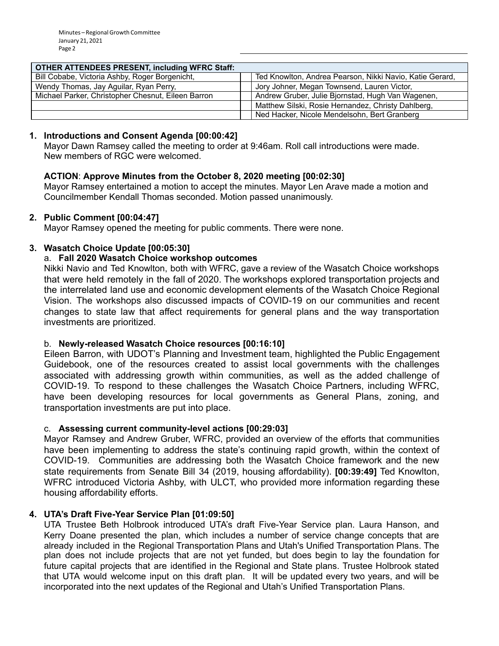## **OTHER ATTENDEES PRESENT, including WFRC Staff:**

| Bill Cobabe, Victoria Ashby, Roger Borgenicht,     | Ted Knowlton, Andrea Pearson, Nikki Navio, Katie Gerard, |  |  |
|----------------------------------------------------|----------------------------------------------------------|--|--|
| Wendy Thomas, Jay Aguilar, Ryan Perry,             | Jory Johner, Megan Townsend, Lauren Victor,              |  |  |
| Michael Parker, Christopher Chesnut, Eileen Barron | Andrew Gruber, Julie Bjornstad, Hugh Van Wagenen,        |  |  |
|                                                    | Matthew Silski, Rosie Hernandez, Christy Dahlberg,       |  |  |
|                                                    | Ned Hacker, Nicole Mendelsohn, Bert Granberg             |  |  |

### **1. Introductions and Consent Agenda [00:00:42]**

Mayor Dawn Ramsey called the meeting to order at 9:46am. Roll call introductions were made. New members of RGC were welcomed.

### **ACTION** : **Approve Minutes from the October 8, 2020 meeting [00:02:30]**

Mayor Ramsey entertained a motion to accept the minutes. Mayor Len Arave made a motion and Councilmember Kendall Thomas seconded. Motion passed unanimously.

### **2. Public Comment [00:04:47]**

Mayor Ramsey opened the meeting for public comments. There were none.

# **3. Wasatch Choice Update [00:05:30]**

# a. **Fall 2020 Wasatch Choice workshop outcomes**

Nikki Navio and Ted Knowlton, both with WFRC, gave a review of the Wasatch Choice workshops that were held remotely in the fall of 2020. The workshops explored transportation projects and the interrelated land use and economic development elements of the Wasatch Choice Regional Vision. The workshops also discussed impacts of COVID-19 on our communities and recent changes to state law that affect requirements for general plans and the way transportation investments are prioritized.

#### b. **Newly-released Wasatch Choice resources [00:16:10]**

Eileen Barron, with UDOT's Planning and Investment team, highlighted the Public Engagement Guidebook, one of the resources created to assist local governments with the challenges associated with addressing growth within communities, as well as the added challenge of COVID-19. To respond to these challenges the Wasatch Choice Partners, including WFRC, have been developing resources for local governments as General Plans, zoning, and transportation investments are put into place.

# c. **Assessing current community-level actions [00:29:03]**

Mayor Ramsey and Andrew Gruber, WFRC, provided an overview of the efforts that communities have been implementing to address the state's continuing rapid growth, within the context of COVID-19. Communities are addressing both the Wasatch Choice framework and the new state requirements from Senate Bill 34 (2019, housing affordability). **[00:39:49]** Ted Knowlton, WFRC introduced Victoria Ashby, with ULCT, who provided more information regarding these housing affordability efforts.

#### **4. UTA's Draft Five-Year Service Plan [01:09:50]**

UTA Trustee Beth Holbrook introduced UTA's draft Five-Year Service plan. Laura Hanson, and Kerry Doane presented the plan, which includes a number of service change concepts that are already included in the Regional Transportation Plans and Utah's Unified Transportation Plans. The plan does not include projects that are not yet funded, but does begin to lay the foundation for future capital projects that are identified in the Regional and State plans. Trustee Holbrook stated that UTA would welcome input on this draft plan. It will be updated every two years, and will be incorporated into the next updates of the Regional and Utah's Unified Transportation Plans.